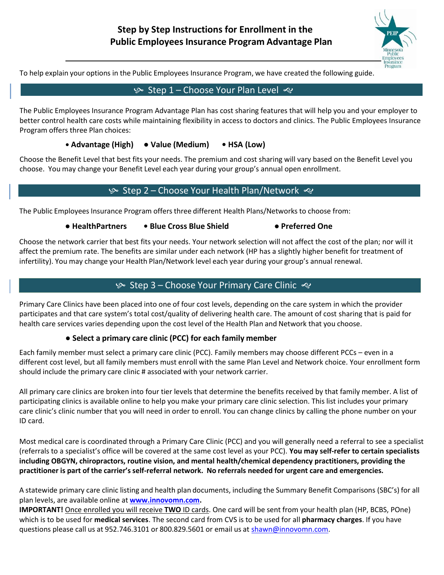

To help explain your options in the Public Employees Insurance Program, we have created the following guide.

## $\frac{1}{2}$  Step 1 – Choose Your Plan Level ≪

The Public Employees Insurance Program Advantage Plan has cost sharing features that will help you and your employer to better control health care costs while maintaining flexibility in access to doctors and clinics. The Public Employees Insurance Program offers three Plan choices:

#### **• Advantage (High) ● Value (Medium) • HSA (Low)**

Choose the Benefit Level that best fits your needs. The premium and cost sharing will vary based on the Benefit Level you choose. You may change your Benefit Level each year during your group's annual open enrollment.

#### **Step 2 – Choose Your Health Plan/Network <4>>**

The Public Employees Insurance Program offers three different Health Plans/Networks to choose from:

#### **● HealthPartners • Blue Cross Blue Shield ● Preferred One**

Choose the network carrier that best fits your needs. Your network selection will not affect the cost of the plan; nor will it affect the premium rate. The benefits are similar under each network (HP has a slightly higher benefit for treatment of infertility). You may change your Health Plan/Network level each year during your group's annual renewal.

#### $\&$  Step 3 – Choose Your Primary Care Clinic  $\&$

Primary Care Clinics have been placed into one of four cost levels, depending on the care system in which the provider participates and that care system's total cost/quality of delivering health care. The amount of cost sharing that is paid for health care services varies depending upon the cost level of the Health Plan and Network that you choose.

#### **● Select a primary care clinic (PCC) for each family member**

Each family member must select a primary care clinic (PCC). Family members may choose different PCCs – even in a different cost level, but all family members must enroll with the same Plan Level and Network choice. Your enrollment form should include the primary care clinic # associated with your network carrier.

All primary care clinics are broken into four tier levels that determine the benefits received by that family member. A list of participating clinics is available online to help you make your primary care clinic selection. This list includes your primary care clinic's clinic number that you will need in order to enroll. You can change clinics by calling the phone number on your ID card.

Most medical care is coordinated through a Primary Care Clinic (PCC) and you will generally need a referral to see a specialist (referrals to a specialist's office will be covered at the same cost level as your PCC). **You may self-refer to certain specialists including OBGYN, chiropractors, routine vision, and mental health/chemical dependency practitioners, providing the practitioner is part of the carrier's self-referral network. No referrals needed for urgent care and emergencies.**

A statewide primary care clinic listing and health plan documents, including the Summary Benefit Comparisons (SBC's) for all plan levels, are available online at **[www.innovomn.com.](http://www.innovomn.com/)**

**IMPORTANT!** Once enrolled you will receive **TWO** ID cards. One card will be sent from your health plan (HP, BCBS, POne) which is to be used for **medical services**. The second card from CVS is to be used for all **pharmacy charges**. If you have questions please call us at 952.746.3101 or 800.829.5601 or email us at [shawn@innovomn.com.](mailto:shawn@innovomn.com)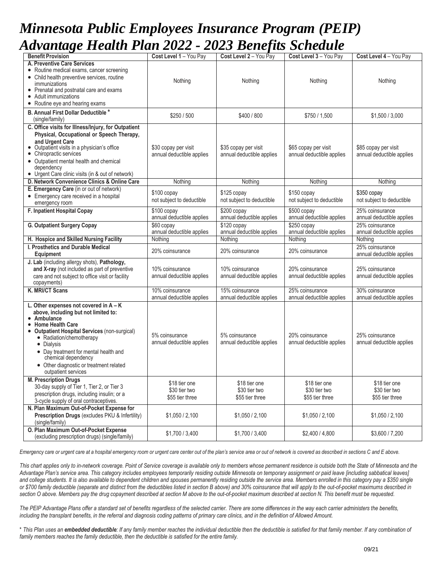# *Minnesota Public Employees Insurance Program (PEIP) Advantage Health Plan 2022 - 2023 Benefits Schedule*

| rafanaza Haann I ian 2022 - 2023 Denejus Scheaue                                 |                                          |                                                   |                                                   |                                                   |
|----------------------------------------------------------------------------------|------------------------------------------|---------------------------------------------------|---------------------------------------------------|---------------------------------------------------|
| <b>Benefit Provision</b><br>A. Preventive Care Services                          | Cost Level 1 - You Pay                   | Cost Level 2 - You Pay                            | Cost Level 3 - You Pay                            | Cost Level 4 - You Pay                            |
| • Routine medical exams, cancer screening                                        |                                          |                                                   |                                                   |                                                   |
| • Child health preventive services, routine                                      |                                          |                                                   |                                                   |                                                   |
| immunizations                                                                    | Nothing                                  | Nothing                                           | Nothing                                           | Nothing                                           |
| • Prenatal and postnatal care and exams                                          |                                          |                                                   |                                                   |                                                   |
| • Adult immunizations                                                            |                                          |                                                   |                                                   |                                                   |
| • Routine eye and hearing exams                                                  |                                          |                                                   |                                                   |                                                   |
| B. Annual First Dollar Deductible*                                               | \$250 / 500                              | \$400 / 800                                       | \$750 / 1,500                                     | \$1,500 / 3,000                                   |
| (single/family)                                                                  |                                          |                                                   |                                                   |                                                   |
| C. Office visits for Illness/Injury, for Outpatient                              |                                          |                                                   |                                                   |                                                   |
| Physical, Occupational or Speech Therapy,                                        |                                          |                                                   |                                                   |                                                   |
| and Urgent Care<br>• Outpatient visits in a physician's office                   | \$30 copay per visit                     |                                                   |                                                   |                                                   |
| • Chiropractic services                                                          | annual deductible applies                | \$35 copay per visit<br>annual deductible applies | \$65 copay per visit<br>annual deductible applies | \$85 copay per visit<br>annual deductible applies |
| • Outpatient mental health and chemical                                          |                                          |                                                   |                                                   |                                                   |
| dependency                                                                       |                                          |                                                   |                                                   |                                                   |
| • Urgent Care clinic visits (in & out of network)                                |                                          |                                                   |                                                   |                                                   |
| D. Network Convenience Clinics & Online Care                                     | Nothing                                  | Nothing                                           | Nothing                                           | Nothing                                           |
| E. Emergency Care (in or out of network)                                         | \$100 copay                              | \$125 copay                                       | \$150 copay                                       | \$350 copay                                       |
| • Emergency care received in a hospital                                          | not subject to deductible                | not subject to deductible                         | not subject to deductible                         | not subject to deductible                         |
| emergency room                                                                   |                                          |                                                   |                                                   |                                                   |
| F. Inpatient Hospital Copay                                                      | \$100 copay<br>annual deductible applies | $$200$ copay<br>annual deductible applies         | $$500$ copay<br>annual deductible applies         | 25% coinsurance<br>annual deductible applies      |
| G. Outpatient Surgery Copay                                                      | \$60 copay                               | $$120$ copay                                      | $$250$ copay                                      | 25% coinsurance                                   |
|                                                                                  | annual deductible applies                | annual deductible applies                         | annual deductible applies                         | annual deductible applies                         |
| H. Hospice and Skilled Nursing Facility                                          | Nothing                                  | Nothing                                           | Nothing                                           | Nothing                                           |
| I. Prosthetics and Durable Medical                                               |                                          |                                                   |                                                   | 25% coinsurance                                   |
| Equipment                                                                        | 20% coinsurance                          | 20% coinsurance                                   | 20% coinsurance                                   | annual deductible applies                         |
| J. Lab (including allergy shots), Pathology,                                     |                                          |                                                   |                                                   |                                                   |
| and X-ray (not included as part of preventive                                    | 10% coinsurance                          | 10% coinsurance                                   | 20% coinsurance                                   | 25% coinsurance                                   |
| care and not subject to office visit or facility                                 | annual deductible applies                | annual deductible applies                         | annual deductible applies                         | annual deductible applies                         |
| copayments)                                                                      |                                          |                                                   |                                                   |                                                   |
| K. MRI/CT Scans                                                                  | 10% coinsurance                          | 15% coinsurance                                   | 25% coinsurance                                   | 30% coinsurance                                   |
|                                                                                  | annual deductible applies                | annual deductible applies                         | annual deductible applies                         | annual deductible applies                         |
| L. Other expenses not covered in $A - K$<br>above, including but not limited to: |                                          |                                                   |                                                   |                                                   |
| • Ambulance                                                                      |                                          |                                                   |                                                   |                                                   |
| <b>Home Health Care</b>                                                          |                                          |                                                   |                                                   |                                                   |
| <b>Outpatient Hospital Services (non-surgical)</b>                               | 5% coinsurance                           | 5% coinsurance                                    | 20% coinsurance                                   | 25% coinsurance                                   |
| • Radiation/chemotherapy                                                         | annual deductible applies                | annual deductible applies                         | annual deductible applies                         | annual deductible applies                         |
| • Dialysis<br>• Day treatment for mental health and                              |                                          |                                                   |                                                   |                                                   |
| chemical dependency                                                              |                                          |                                                   |                                                   |                                                   |
| • Other diagnostic or treatment related                                          |                                          |                                                   |                                                   |                                                   |
| outpatient services                                                              |                                          |                                                   |                                                   |                                                   |
| <b>M. Prescription Drugs</b>                                                     | \$18 tier one                            | \$18 tier one                                     | \$18 tier one                                     | \$18 tier one                                     |
| 30-day supply of Tier 1, Tier 2, or Tier 3                                       | \$30 tier two                            | \$30 tier two                                     | \$30 tier two                                     | \$30 tier two                                     |
| prescription drugs, including insulin; or a                                      | \$55 tier three                          | \$55 tier three                                   | \$55 tier three                                   | \$55 tier three                                   |
| 3-cycle supply of oral contraceptives.                                           |                                          |                                                   |                                                   |                                                   |
| N. Plan Maximum Out-of-Pocket Expense for                                        |                                          |                                                   |                                                   |                                                   |
| Prescription Drugs (excludes PKU & Infertility)                                  | \$1,050 / 2,100                          | \$1,050 / 2,100                                   | \$1,050 / 2,100                                   | \$1,050 / 2,100                                   |
| (single/family)<br>O. Plan Maximum Out-of-Pocket Expense                         |                                          |                                                   |                                                   |                                                   |
| (excluding prescription drugs) (single/family)                                   | \$1,700 / 3,400                          | \$1,700 / 3,400                                   | \$2,400 / 4,800                                   | \$3,600 / 7,200                                   |
|                                                                                  |                                          |                                                   |                                                   |                                                   |

Emergency care or urgent care at a hospital emergency room or urgent care center out of the plan's service area or out of network is covered as described in sections C and E above.

*This chart applies only to in-network coverage. Point of Service coverage is available only to members whose permanent residence is outside both the State of Minnesota and the* Advantage Plan's service area. This category includes employees temporarily residing outside Minnesota on temporary assignment or paid leave [including sabbatical leaves] and college students. It is also available to dependent children and spouses permanently residing outside the service area. Members enrolled in this category pay a \$350 single *or \$700 family deductible (separate and distinct from the deductibles listed in section B above) and 30% coinsurance that will apply to the out-of-pocket maximums described in* section O above. Members pay the drug copayment described at section M above to the out-of-pocket maximum described at section N. This benefit must be requested.

*The PEIP Advantage Plans offer a standard set of benefits regardless of the selected carrier. There are some differences in the way each carrier administers the benefits,* including the transplant benefits, in the referral and diagnosis coding patterns of primary care clinics, and in the definition of Allowed Amount.

\* *This Plan uses an embedded deductible: If any family member reaches the individual deductible then the deductible is satisfied for that family member. If any combination of family members reaches the family deductible, then the deductible is satisfied for the entire family.*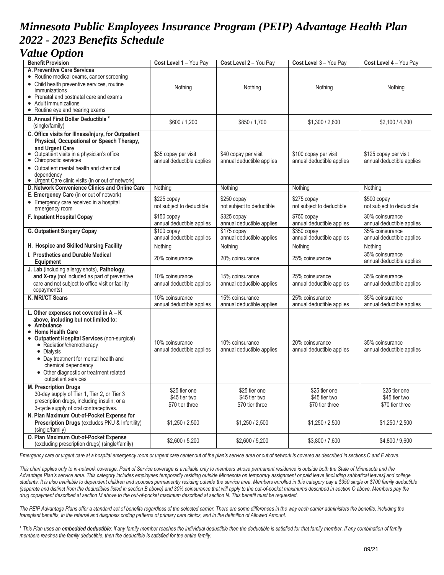# *Minnesota Public Employees Insurance Program (PEIP) Advantage Health Plan 2022 - 2023 Benefits Schedule*

## *Value Option*

| <b>Benefit Provision</b>                                                            | Cost Level 1 - You Pay                            | Cost Level 2 - You Pay                            | Cost Level 3 - You Pay                             | Cost Level 4 - You Pay                             |
|-------------------------------------------------------------------------------------|---------------------------------------------------|---------------------------------------------------|----------------------------------------------------|----------------------------------------------------|
| A. Preventive Care Services                                                         |                                                   |                                                   |                                                    |                                                    |
| • Routine medical exams, cancer screening                                           |                                                   |                                                   |                                                    |                                                    |
| • Child health preventive services, routine                                         | Nothing                                           | Nothing                                           | Nothing                                            | Nothing                                            |
| immunizations<br>• Prenatal and postnatal care and exams                            |                                                   |                                                   |                                                    |                                                    |
| • Adult immunizations                                                               |                                                   |                                                   |                                                    |                                                    |
| • Routine eye and hearing exams                                                     |                                                   |                                                   |                                                    |                                                    |
| B. Annual First Dollar Deductible*                                                  |                                                   |                                                   |                                                    |                                                    |
| (single/family)                                                                     | \$600/1,200                                       | \$850 / 1,700                                     | \$1,300 / 2,600                                    | \$2,100/4,200                                      |
| C. Office visits for Illness/Injury, for Outpatient                                 |                                                   |                                                   |                                                    |                                                    |
| Physical, Occupational or Speech Therapy,                                           |                                                   |                                                   |                                                    |                                                    |
| and Urgent Care                                                                     |                                                   |                                                   |                                                    |                                                    |
| • Outpatient visits in a physician's office<br>• Chiropractic services              | \$35 copay per visit<br>annual deductible applies | \$40 copay per visit<br>annual deductible applies | \$100 copay per visit<br>annual deductible applies | \$125 copay per visit<br>annual deductible applies |
| • Outpatient mental health and chemical                                             |                                                   |                                                   |                                                    |                                                    |
| dependency                                                                          |                                                   |                                                   |                                                    |                                                    |
| • Urgent Care clinic visits (in or out of network)                                  |                                                   |                                                   |                                                    |                                                    |
| D. Network Convenience Clinics and Online Care                                      | Nothing                                           | Nothing                                           | Nothing                                            | Nothing                                            |
| E. Emergency Care (in or out of network)                                            | $$225$ copay                                      | \$250 copay                                       | \$275 copay                                        | \$500 copay                                        |
| • Emergency care received in a hospital                                             | not subject to deductible                         | not subject to deductible                         | not subject to deductible                          | not subject to deductible                          |
| emergency room<br>F. Inpatient Hospital Copay                                       | \$150 copay                                       | \$325 copay                                       | $$750$ copay                                       | 30% coinsurance                                    |
|                                                                                     | annual deductible applies                         | annual deductible applies                         | annual deductible applies                          | annual deductible applies                          |
| <b>G. Outpatient Surgery Copay</b>                                                  | $$100$ copay                                      | \$175 copay                                       | $$350$ copay                                       | 35% coinsurance                                    |
|                                                                                     | annual deductible applies                         | annual deductible applies                         | annual deductible applies                          | annual deductible applies                          |
| H. Hospice and Skilled Nursing Facility                                             | Nothing                                           | Nothing                                           | Nothing                                            | Nothing                                            |
| I. Prosthetics and Durable Medical                                                  | 20% coinsurance                                   | 20% coinsurance                                   | 25% coinsurance                                    | 35% coinsurance                                    |
| Equipment                                                                           |                                                   |                                                   |                                                    | annual deductible applies                          |
| J. Lab (including allergy shots), Pathology,                                        |                                                   |                                                   |                                                    |                                                    |
| and X-ray (not included as part of preventive                                       | 10% coinsurance                                   | 15% coinsurance                                   | 25% coinsurance                                    | 35% coinsurance                                    |
| care and not subject to office visit or facility<br>copayments)                     | annual deductible applies                         | annual deductible applies                         | annual deductible applies                          | annual deductible applies                          |
| K. MRI/CT Scans                                                                     | 10% coinsurance                                   | 15% coinsurance                                   | 25% coinsurance                                    | 35% coinsurance                                    |
|                                                                                     | annual deductible applies                         | annual deductible applies                         | annual deductible applies                          | annual deductible applies                          |
| L. Other expenses not covered in A - K                                              |                                                   |                                                   |                                                    |                                                    |
| above, including but not limited to:                                                |                                                   |                                                   |                                                    |                                                    |
| • Ambulance                                                                         |                                                   |                                                   |                                                    |                                                    |
| • Home Health Care<br>• Outpatient Hospital Services (non-surgical)                 |                                                   |                                                   |                                                    |                                                    |
| • Radiation/chemotherapy                                                            | 10% coinsurance                                   | 10% coinsurance                                   | 20% coinsurance                                    | 35% coinsurance                                    |
| • Dialysis                                                                          | annual deductible applies                         | annual deductible applies                         | annual deductible applies                          | annual deductible applies                          |
| • Day treatment for mental health and                                               |                                                   |                                                   |                                                    |                                                    |
| chemical dependency                                                                 |                                                   |                                                   |                                                    |                                                    |
| • Other diagnostic or treatment related<br>outpatient services                      |                                                   |                                                   |                                                    |                                                    |
| <b>M. Prescription Drugs</b>                                                        | \$25 tier one                                     | \$25 tier one                                     | \$25 tier one                                      | \$25 tier one                                      |
| 30-day supply of Tier 1, Tier 2, or Tier 3                                          | \$45 tier two                                     | \$45 tier two                                     | \$45 tier two                                      | \$45 tier two                                      |
| prescription drugs, including insulin; or a                                         | \$70 tier three                                   | \$70 tier three                                   | \$70 tier three                                    | \$70 tier three                                    |
| 3-cycle supply of oral contraceptives.<br>N. Plan Maximum Out-of-Pocket Expense for |                                                   |                                                   |                                                    |                                                    |
| Prescription Drugs (excludes PKU & Infertility)                                     | \$1,250 / 2,500                                   | \$1,250/2,500                                     | \$1,250/2,500                                      | \$1,250/2,500                                      |
| (single/family)                                                                     |                                                   |                                                   |                                                    |                                                    |
| O. Plan Maximum Out-of-Pocket Expense                                               |                                                   |                                                   |                                                    |                                                    |
| (excluding prescription drugs) (single/family)                                      | \$2,600 / 5,200                                   | \$2,600 / 5,200                                   | \$3,800 / 7,600                                    | \$4,800 / 9,600                                    |

Emergency care or urgent care at a hospital emergency room or urgent care center out of the plan's service area or out of network is covered as described in sections C and E above.

This chart applies only to in-network coverage. Point of Service coverage is available only to members whose permanent residence is outside both the State of Minnesota and the *Advantage Plan's service area. This category includes employees temporarily residing outside Minnesota on temporary assignment or paid leave [including sabbatical leaves] and college* students. It is also available to dependent children and spouses permanently residing outside the service area. Members enrolled in this category pay a \$350 single or \$700 family deductible *(separate and distinct from the deductibles listed in section B above) and 30% coinsurance that will apply to the out-of-pocket maximums described in section O above. Members pay the* drug copayment described at section M above to the out-of-pocket maximum described at section N. This benefit must be requested.

*The PEIP Advantage Plans offer a standard set of benefits regardless of the selected carrier. There are some differences in the way each carrier administers the benefits, including the* transplant benefits, in the referral and diagnosis coding patterns of primary care clinics, and in the definition of Allowed Amount.

\* *This Plan uses an embedded deductible: If any family member reaches the individual deductible then the deductible is satisfied for that family member. If any combination of family members reaches the family deductible, then the deductible is satisfied for the entire family.*